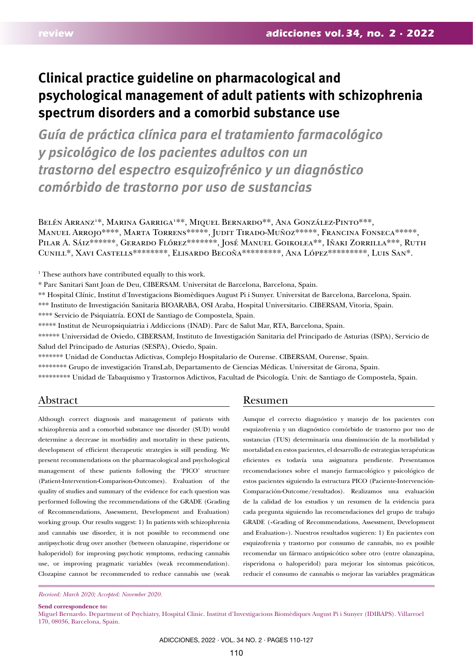# **Clinical practice guideline on pharmacological and psychological management of adult patients with schizophrenia spectrum disorders and a comorbid substance use**

*Guía de práctica clínica para el tratamiento farmacológico y psicológico de los pacientes adultos con un trastorno del espectro esquizofrénico y un diagnóstico comórbido de trastorno por uso de sustancias*

Belén Arranz<sup>1\*</sup>, Marina Garriga<sup>1\*\*</sup>, Miquel Bernardo\*\*, Ana González-Pinto\*\*\*, Manuel Arrojo\*\*\*\*, Marta Torrens\*\*\*\*\*, Judit Tirado-Muñoz\*\*\*\*\*, Francina Fonseca\*\*\*\*\*, PILAR A. SÁIZ\*\*\*\*\*\*, GERARDO FLÓREZ\*\*\*\*\*\*\*, JOSÉ MANUEL GOIKOLEA\*\*, IÑAKI ZORRILLA\*\*\*, RUTH Cunill\*, Xavi Castells\*\*\*\*\*\*\*\*, Elisardo Becoña\*\*\*\*\*\*\*\*\*, Ana López\*\*\*\*\*\*\*\*\*, Luis San\*.

<sup>1</sup> These authors have contributed equally to this work.

\* Parc Sanitari Sant Joan de Deu, CIBERSAM. Universitat de Barcelona, Barcelona, Spain.

\*\* Hospital Clínic, Institut d'Investigacions Biomèdiques August Pi i Sunyer. Universitat de Barcelona, Barcelona, Spain.

\*\*\* Instituto de Investigación Sanitaria BIOARABA, OSI Araba, Hospital Universitario. CIBERSAM, Vitoria, Spain.

\*\*\*\* Servicio de Psiquiatría. EOXI de Santiago de Compostela, Spain.

\*\*\*\*\* Institut de Neuropsiquiatria i Addiccions (INAD). Parc de Salut Mar, RTA, Barcelona, Spain.

\*\*\*\*\*\* Universidad de Oviedo, CIBERSAM, Instituto de Investigación Sanitaria del Principado de Asturias (ISPA), Servicio de Salud del Principado de Asturias (SESPA), Oviedo, Spain.

\*\*\*\*\*\*\* Unidad de Conductas Adictivas, Complejo Hospitalario de Ourense. CIBERSAM, Ourense, Spain.

\*\*\*\*\*\*\*\* Grupo de investigación TransLab, Departamento de Ciencias Médicas. Universitat de Girona, Spain.

\*\*\*\*\*\*\*\*\* Unidad de Tabaquismo y Trastornos Adictivos, Facultad de Psicología. Univ. de Santiago de Compostela, Spain.

# Abstract

Although correct diagnosis and management of patients with schizophrenia and a comorbid substance use disorder (SUD) would determine a decrease in morbidity and mortality in these patients, development of efficient therapeutic strategies is still pending. We present recommendations on the pharmacological and psychological management of these patients following the 'PICO' structure (Patient-Intervention-Comparison-Outcomes). Evaluation of the quality of studies and summary of the evidence for each question was performed following the recommendations of the GRADE (Grading of Recommendations, Assessment, Development and Evaluation) working group. Our results suggest: 1) In patients with schizophrenia and cannabis use disorder, it is not possible to recommend one antipsychotic drug over another (between olanzapine, risperidone or haloperidol) for improving psychotic symptoms, reducing cannabis use, or improving pragmatic variables (weak recommendation). Clozapine cannot be recommended to reduce cannabis use (weak

#### *Received: March 2020; Accepted: November 2020.*

**Send correspondence to:**

# Resumen

Aunque el correcto diagnóstico y manejo de los pacientes con esquizofrenia y un diagnóstico comórbido de trastorno por uso de sustancias (TUS) determinaría una disminución de la morbilidad y mortalidad en estos pacientes, el desarrollo de estrategias terapéuticas eficientes es todavía una asignatura pendiente. Presentamos recomendaciones sobre el manejo farmacológico y psicológico de estos pacientes siguiendo la estructura PICO (Paciente-Intervención-Comparación-Outcome/resultados). Realizamos una evaluación de la calidad de los estudios y un resumen de la evidencia para cada pregunta siguiendo las recomendaciones del grupo de trabajo GRADE («Grading of Recommendations, Assessment, Development and Evaluation»). Nuestros resultados sugieren: 1) En pacientes con esquizofrenia y trastorno por consumo de cannabis, no es posible recomendar un fármaco antipsicótico sobre otro (entre olanzapina, risperidona o haloperidol) para mejorar los síntomas psicóticos, reducir el consumo de cannabis o mejorar las variables pragmáticas

Miguel Bernardo. Department of Psychiatry, Hospital Clinic. Institut d'Investigacions Biomèdiques August Pi i Sunyer (IDIBAPS). Villarroel 170, 08036, Barcelona, Spain.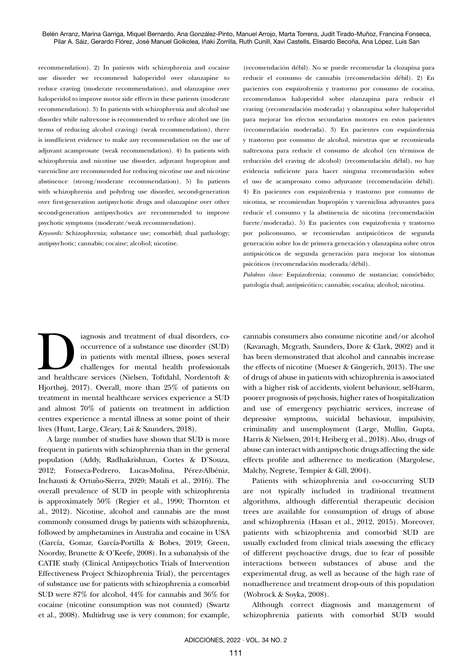recommendation). 2) In patients with schizophrenia and cocaine use disorder we recommend haloperidol over olanzapine to reduce craving (moderate recommendation), and olanzapine over haloperidol to improve motor side effects in these patients (moderate recommendation). 3) In patients with schizophrenia and alcohol use disorder while naltrexone is recommended to reduce alcohol use (in terms of reducing alcohol craving) (weak recommendation), there is insufficient evidence to make any recommendation on the use of adjuvant acamprosate (weak recommendation). 4) In patients with schizophrenia and nicotine use disorder, adjuvant bupropion and varenicline are recommended for reducing nicotine use and nicotine abstinence (strong/moderate recommendation). 5) In patients with schizophrenia and polydrug use disorder, second-generation over first-generation antipsychotic drugs and olanzapine over other second-generation antipsychotics are recommended to improve psychotic symptoms (moderate/weak recommendation).

*Keywords:* Schizophrenia; substance use; comorbid; dual pathology; antipsychotic; cannabis; cocaine; alcohol; nicotine.

(recomendación débil). No se puede recomendar la clozapina para reducir el consumo de cannabis (recomendación débil). 2) En pacientes con esquizofrenia y trastorno por consumo de cocaína, recomendamos haloperidol sobre olanzapina para reducir el craving (recomendación moderada) y olanzapina sobre haloperidol para mejorar los efectos secundarios motores en estos pacientes (recomendación moderada). 3) En pacientes con esquizofrenia y trastorno por consumo de alcohol, mientras que se recomienda naltrexona para reducir el consumo de alcohol (en términos de reducción del craving de alcohol) (recomendación débil), no hay evidencia suficiente para hacer ninguna recomendación sobre el uso de acamprosato como adyuvante (recomendación débil). 4) En pacientes con esquizofrenia y trastorno por consumo de nicotina, se recomiendan bupropión y vareniclina adyuvantes para reducir el consumo y la abstinencia de nicotina (recomendación fuerte/moderada). 5) En pacientes con esquizofrenia y trastorno por policonsumo, se recomiendan antipsicóticos de segunda generación sobre los de primera generación y olanzapina sobre otros antipsicóticos de segunda generación para mejorar los síntomas psicóticos (recomendación moderada/débil).

*Palabras clave:* Esquizofrenia; consumo de sustancias; comórbido; patología dual; antipsicótico; cannabis; cocaína; alcohol; nicotina.

iagnosis and treatment of dual disorders, co-<br>
occurrence of a substance use disorder (SUD)<br>
in patients with mental illness, poses several<br>
challenges for mental health professionals<br>
and healthcare services (Nielsen, Tof occurrence of a substance use disorder (SUD) in patients with mental illness, poses several challenges for mental health professionals Hjorthøj, 2017). Overall, more than 25% of patients on treatment in mental healthcare services experience a SUD and almost 70% of patients on treatment in addiction centres experience a mental illness at some point of their lives (Hunt, Large, Cleary, Lai & Saunders, 2018).

A large number of studies have shown that SUD is more frequent in patients with schizophrenia than in the general population (Addy, Radhakrishnan, Cortes & D'Souza, 2012; Fonseca-Pedrero, Lucas-Molina, Pérez-Albéniz, Inchausti & Ortuño-Sierra, 2020; Matali et al., 2016). The overall prevalence of SUD in people with schizophrenia is approximately 50% (Regier et al., 1990; Thornton et al., 2012). Nicotine, alcohol and cannabis are the most commonly consumed drugs by patients with schizophrenia, followed by amphetamines in Australia and cocaine in USA (García, Gomar, García-Portilla & Bobes, 2019; Green, Noordsy, Brunette & O'Keefe, 2008). In a subanalysis of the CATIE study (Clinical Antipsychotics Trials of Intervention Effectiveness Project Schizophrenia Trial), the percentages of substance use for patients with schizophrenia a comorbid SUD were 87% for alcohol, 44% for cannabis and 36% for cocaine (nicotine consumption was not counted) (Swartz et al., 2008). Multidrug use is very common; for example, cannabis consumers also consume nicotine and/or alcohol (Kavanagh, Mcgrath, Saunders, Dore & Clark, 2002) and it has been demonstrated that alcohol and cannabis increase the effects of nicotine (Mueser & Gingerich, 2013). The use of drugs of abuse in patients with schizophrenia is associated with a higher risk of accidents, violent behaviour, self-harm, poorer prognosis of psychosis, higher rates of hospitalization and use of emergency psychiatric services, increase of depressive symptoms, suicidal behaviour, impulsivity, criminality and unemployment (Large, Mullin, Gupta, Harris & Nielssen, 2014; Heiberg et al., 2018). Also, drugs of abuse can interact with antipsychotic drugs affecting the side effects profile and adherence to medication (Margolese, Malchy, Negrete, Tempier & Gill, 2004).

Patients with schizophrenia and co-occurring SUD are not typically included in traditional treatment algorithms, although differential therapeutic decision trees are available for consumption of drugs of abuse and schizophrenia (Hasan et al., 2012, 2015). Moreover, patients with schizophrenia and comorbid SUD are usually excluded from clinical trials assessing the efficacy of different psychoactive drugs, due to fear of possible interactions between substances of abuse and the experimental drug, as well as because of the high rate of nonadherence and treatment drop-outs of this population (Wobrock & Soyka, 2008).

Although correct diagnosis and management of schizophrenia patients with comorbid SUD would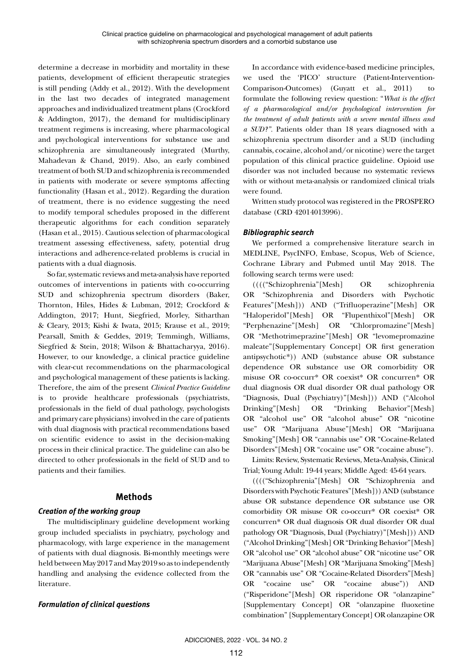determine a decrease in morbidity and mortality in these patients, development of efficient therapeutic strategies is still pending (Addy et al., 2012). With the development in the last two decades of integrated management approaches and individualized treatment plans (Crockford & Addington, 2017), the demand for multidisciplinary treatment regimens is increasing, where pharmacological and psychological interventions for substance use and schizophrenia are simultaneously integrated (Murthy, Mahadevan & Chand, 2019). Also, an early combined treatment of both SUD and schizophrenia is recommended in patients with moderate or severe symptoms affecting functionality (Hasan et al., 2012). Regarding the duration of treatment, there is no evidence suggesting the need to modify temporal schedules proposed in the different therapeutic algorithms for each condition separately (Hasan et al., 2015). Cautious selection of pharmacological treatment assessing effectiveness, safety, potential drug interactions and adherence-related problems is crucial in patients with a dual diagnosis.

So far, systematic reviews and meta-analysis have reported outcomes of interventions in patients with co-occurring SUD and schizophrenia spectrum disorders (Baker, Thornton, Hiles, Hides & Lubman, 2012; Crockford & Addington, 2017; Hunt, Siegfried, Morley, Sitharthan & Cleary, 2013; Kishi & Iwata, 2015; Krause et al., 2019; Pearsall, Smith & Geddes, 2019; Temmingh, Williams, Siegfried & Stein, 2018; Wilson & Bhattacharyya, 2016). However, to our knowledge, a clinical practice guideline with clear-cut recommendations on the pharmacological and psychological management of these patients is lacking. Therefore, the aim of the present *Clinical Practice Guideline*  is to provide healthcare professionals (psychiatrists, professionals in the field of dual pathology, psychologists and primary care physicians) involved in the care of patients with dual diagnosis with practical recommendations based on scientific evidence to assist in the decision-making process in their clinical practice. The guideline can also be directed to other professionals in the field of SUD and to patients and their families.

# **Methods**

# *Creation of the working group*

The multidisciplinary guideline development working group included specialists in psychiatry, psychology and pharmacology, with large experience in the management of patients with dual diagnosis. Bi-monthly meetings were held between May 2017 and May 2019 so as to independently handling and analysing the evidence collected from the literature.

# *Formulation of clinical questions*

In accordance with evidence-based medicine principles, we used the 'PICO' structure (Patient-Intervention-Comparison-Outcomes) (Guyatt et al., 2011) to formulate the following review question: "*What is the effect of a pharmacological and/or psychological intervention for the treatment of adult patients with a severe mental illness and a SUD?".* Patients older than 18 years diagnosed with a schizophrenia spectrum disorder and a SUD (including cannabis, cocaine, alcohol and/or nicotine) were the target population of this clinical practice guideline. Opioid use disorder was not included because no systematic reviews with or without meta-analysis or randomized clinical trials were found.

Written study protocol was registered in the PROSPERO database (CRD 42014013996).

## *Bibliographic search*

We performed a comprehensive literature search in MEDLINE, PsycINFO, Embase, Scopus, Web of Science, Cochrane Library and Pubmed until May 2018. The following search terms were used:

(((("Schizophrenia"[Mesh] OR schizophrenia OR "Schizophrenia and Disorders with Psychotic Features"[Mesh])) AND ("Trifluoperazine"[Mesh] OR "Haloperidol"[Mesh] OR "Flupenthixol"[Mesh] OR "Perphenazine"[Mesh] OR "Chlorpromazine"[Mesh] OR "Methotrimeprazine"[Mesh] OR "levomepromazine maleate"[Supplementary Concept] OR first generation antipsychotic\*)) AND (substance abuse OR substance dependence OR substance use OR comorbidity OR misuse OR co-occurr\* OR coexist\* OR concurren\* OR dual diagnosis OR dual disorder OR dual pathology OR "Diagnosis, Dual (Psychiatry)"[Mesh])) AND ("Alcohol Drinking"[Mesh] OR "Drinking Behavior"[Mesh] OR "alcohol use" OR "alcohol abuse" OR "nicotine use" OR "Marijuana Abuse"[Mesh] OR "Marijuana Smoking"[Mesh] OR "cannabis use" OR "Cocaine-Related Disorders"[Mesh] OR "cocaine use" OR "cocaine abuse").

Limits: Review, Systematic Reviews, Meta-Analysis, Clinical Trial; Young Adult: 19-44 years; Middle Aged: 45-64 years.

(((("Schizophrenia"[Mesh] OR "Schizophrenia and Disorders with Psychotic Features"[Mesh])) AND (substance abuse OR substance dependence OR substance use OR comorbidity OR misuse OR co-occurr\* OR coexist\* OR concurren\* OR dual diagnosis OR dual disorder OR dual pathology OR "Diagnosis, Dual (Psychiatry)"[Mesh])) AND ("Alcohol Drinking"[Mesh] OR "Drinking Behavior"[Mesh] OR "alcohol use" OR "alcohol abuse" OR "nicotine use" OR "Marijuana Abuse"[Mesh] OR "Marijuana Smoking"[Mesh] OR "cannabis use" OR "Cocaine-Related Disorders"[Mesh] OR "cocaine use" OR "cocaine abuse")) AND ("Risperidone"[Mesh] OR risperidone OR "olanzapine" [Supplementary Concept] OR "olanzapine fluoxetine combination" [Supplementary Concept] OR olanzapine OR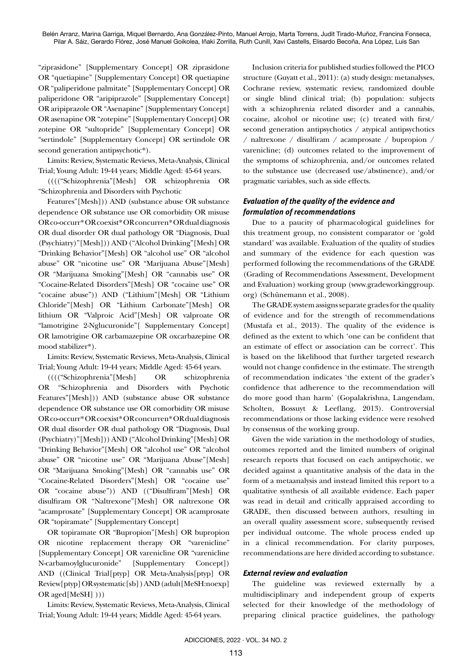"ziprasidone" [Supplementary Concept] OR ziprasidone OR "quetiapine" [Supplementary Concept] OR quetiapine OR "paliperidone palmitate" [Supplementary Concept] OR paliperidone OR "aripiprazole" [Supplementary Concept] OR aripiprazole OR "Asenapine" [Supplementary Concept] OR asenapine OR "zotepine" [Supplementary Concept] OR zotepine OR "sultopride" [Supplementary Concept] OR "sertindole" [Supplementary Concept] OR sertindole OR second generation antipsychotic\*).

Limits: Review, Systematic Reviews, Meta-Analysis, Clinical Trial; Young Adult: 19-44 years; Middle Aged: 45-64 years.

(((("Schizophrenia"[Mesh] OR schizophrenia OR "Schizophrenia and Disorders with Psychotic

Features"[Mesh])) AND (substance abuse OR substance dependence OR substance use OR comorbidity OR misuse OR co-occurr\* OR coexist\* OR concurren\* OR dual diagnosis OR dual disorder OR dual pathology OR "Diagnosis, Dual (Psychiatry)"[Mesh])) AND ("Alcohol Drinking"[Mesh] OR "Drinking Behavior"[Mesh] OR "alcohol use" OR "alcohol abuse" OR "nicotine use" OR "Marijuana Abuse"[Mesh] OR "Marijuana Smoking"[Mesh] OR "cannabis use" OR "Cocaine-Related Disorders"[Mesh] OR "cocaine use" OR "cocaine abuse")) AND ("Lithium"[Mesh] OR "Lithium Chloride"[Mesh] OR "Lithium Carbonate"[Mesh] OR lithium OR "Valproic Acid"[Mesh] OR valproate OR "lamotrigine 2-Nglucuronide"[ Supplementary Concept] OR lamotrigine OR carbamazepine OR oxcarbazepine OR mood stabilizer\*).

Limits: Review, Systematic Reviews, Meta-Analysis, Clinical Trial; Young Adult: 19-44 years; Middle Aged: 45-64 years.

(((("Schizophrenia"[Mesh] OR schizophrenia OR "Schizophrenia and Disorders with Psychotic Features"[Mesh])) AND (substance abuse OR substance dependence OR substance use OR comorbidity OR misuse OR co-occurr\* OR coexist\* OR concurren\* OR dual diagnosis OR dual disorder OR dual pathology OR "Diagnosis, Dual (Psychiatry)"[Mesh])) AND ("Alcohol Drinking"[Mesh] OR "Drinking Behavior"[Mesh] OR "alcohol use" OR "alcohol abuse" OR "nicotine use" OR "Marijuana Abuse"[Mesh] OR "Marijuana Smoking"[Mesh] OR "cannabis use" OR "Cocaine-Related Disorders"[Mesh] OR "cocaine use" OR "cocaine abuse")) AND (("Disulfiram"[Mesh] OR disulfiram OR "Naltrexone"[Mesh] OR naltrexone OR "acamprosate" [Supplementary Concept] OR acamprosate OR "topiramate" [Supplementary Concept]

OR topiramate OR "Bupropion"[Mesh] OR bupropion OR nicotine replacement therapy OR "varenicline" [Supplementary Concept] OR varenicline OR "varenicline N-carbamoylglucuronide" [Supplementary Concept]) AND ((Clinical Trial[ptyp] OR Meta-Analysis[ptyp] OR Review[ptyp] OR systematic[sb] ) AND (adult[MeSH:noexp] OR aged[MeSH] )))

Limits: Review, Systematic Reviews, Meta-Analysis, Clinical Trial; Young Adult: 19-44 years; Middle Aged: 45-64 years.

Inclusion criteria for published studies followed the PICO structure (Guyatt et al., 2011): (a) study design: metanalyses, Cochrane review, systematic review, randomized double or single blind clinical trial; (b) population: subjects with a schizophrenia related disorder and a cannabis, cocaine, alcohol or nicotine use; (c) treated with first/ second generation antipsychotics / atypical antipsychotics / naltrexone / disulfiram / acamprosate / bupropion / varenicline; (d) outcomes related to the improvement of the symptoms of schizophrenia, and/or outcomes related to the substance use (decreased use/abstinence), and/or pragmatic variables, such as side effects.

## *Evaluation of the quality of the evidence and formulation of recommendations*

Due to a paucity of pharmacological guidelines for this treatment group, no consistent comparator or 'gold standard' was available. Evaluation of the quality of studies and summary of the evidence for each question was performed following the recommendations of the GRADE (Grading of Recommendations Assessment, Development and Evaluation) working group [\(www.gradeworkinggroup.](http://www.gradeworkinggroup.org) [org](http://www.gradeworkinggroup.org)) (Schünemann et al., 2008).

The GRADE system assigns separate grades for the quality of evidence and for the strength of recommendations (Mustafa et al., 2013). The quality of the evidence is defined as the extent to which 'one can be confident that an estimate of effect or association can be correct'. This is based on the likelihood that further targeted research would not change confidence in the estimate. The strength of recommendation indicates 'the extent of the grader's confidence that adherence to the recommendation will do more good than harm' (Gopalakrishna, Langendam, Scholten, Bossuyt & Leeflang, 2013). Controversial recommendations or those lacking evidence were resolved by consensus of the working group.

Given the wide variation in the methodology of studies, outcomes reported and the limited numbers of original research reports that focused on each antipsychotic, we decided against a quantitative analysis of the data in the form of a metaanalysis and instead limited this report to a qualitative synthesis of all available evidence. Each paper was read in detail and critically appraised according to GRADE, then discussed between authors, resulting in an overall quality assessment score, subsequently revised per individual outcome. The whole process ended up in a clinical recommendation. For clarity purposes, recommendations are here divided according to substance.

## *External review and evaluation*

The guideline was reviewed externally by a multidisciplinary and independent group of experts selected for their knowledge of the methodology of preparing clinical practice guidelines, the pathology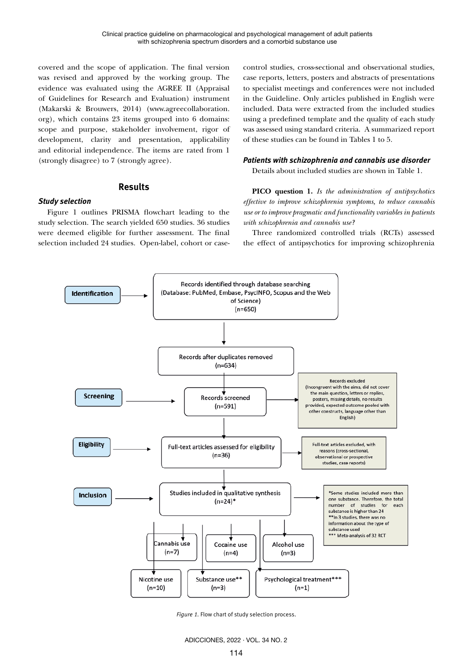covered and the scope of application. The final version was revised and approved by the working group. The evidence was evaluated using the AGREE II (Appraisal of Guidelines for Research and Evaluation) instrument (Makarski & Brouwers, 2014) [\(www.agreecollaboration.](http://www.agreecollaboration.org) [org](http://www.agreecollaboration.org)), which contains 23 items grouped into 6 domains: scope and purpose, stakeholder involvement, rigor of development, clarity and presentation, applicability and editorial independence. The items are rated from 1 (strongly disagree) to 7 (strongly agree).

## **Results**

## *Study selection*

Figure 1 outlines PRISMA flowchart leading to the study selection. The search yielded 650 studies. 36 studies were deemed eligible for further assessment. The final selection included 24 studies. Open-label, cohort or casecontrol studies, cross-sectional and observational studies, case reports, letters, posters and abstracts of presentations to specialist meetings and conferences were not included in the Guideline. Only articles published in English were included. Data were extracted from the included studies using a predefined template and the quality of each study was assessed using standard criteria. A summarized report of these studies can be found in Tables 1 to 5.

## *Patients with schizophrenia and cannabis use disorder*

Details about included studies are shown in Table 1.

**PICO question 1.** *Is the administration of antipsychotics effective to improve schizophrenia symptoms, to reduce cannabis use or to improve pragmatic and functionality variables in patients with schizophrenia and cannabis use?*

Three randomized controlled trials (RCTs) assessed the effect of antipsychotics for improving schizophrenia



*Figure 1.* Flow chart of study selection process.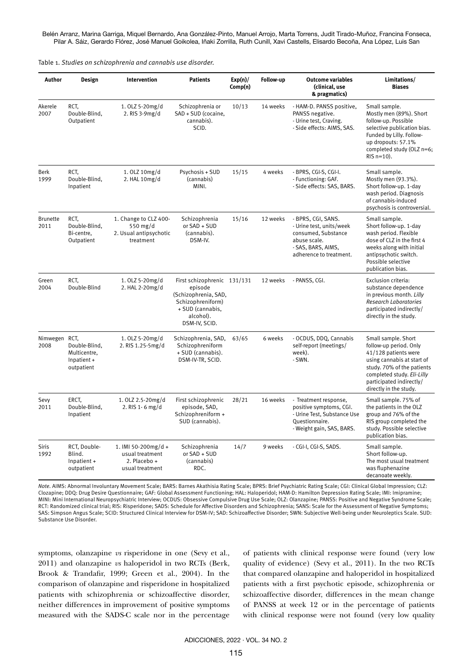Belén Arranz, Marina Garriga, Miquel Bernardo, Ana González-Pinto, Manuel Arrojo, Marta Torrens, Judit Tirado-Muñoz, Francina Fonseca, Pilar A. Sáiz, Gerardo Flórez, José Manuel Goikolea, Iñaki Zorrilla, Ruth Cunill, Xavi Castells, Elisardo Becoña, Ana López, Luis San

Table 1. *Studies on schizophrenia and cannabis use disorder.*

| Author                  | Design                                                             | Intervention                                                              | <b>Patients</b>                                                                                                                       | Exp(n)/<br>Comp(n) | Follow-up | <b>Outcome variables</b><br>(clinical, use<br>& pragmatics)                                                                            | Limitations/<br><b>Biases</b>                                                                                                                                                                                         |
|-------------------------|--------------------------------------------------------------------|---------------------------------------------------------------------------|---------------------------------------------------------------------------------------------------------------------------------------|--------------------|-----------|----------------------------------------------------------------------------------------------------------------------------------------|-----------------------------------------------------------------------------------------------------------------------------------------------------------------------------------------------------------------------|
| Akerele<br>2007         | RCT.<br>Double-Blind,<br>Outpatient                                | 1. OLZ 5-20mg/d<br>2. RIS 3-9mg/d                                         | Schizophrenia or<br>SAD + SUD (cocaine,<br>cannabis).<br>SCID.                                                                        | 10/13              | 14 weeks  | - HAM-D. PANSS positive,<br>PANSS negative.<br>- Urine test, Craving.<br>- Side effects: AIMS, SAS.                                    | Small sample.<br>Mostly men (89%). Short<br>follow-up. Possible<br>selective publication bias.<br>Funded by Lilly. Follow-<br>up dropouts: 57.1%<br>completed study (OLZ n=6;<br>$RIS$ n=10).                         |
| <b>Berk</b><br>1999     | RCT.<br>Double-Blind,<br>Inpatient                                 | 1.0LZ 10mg/d<br>2. HAL 10mg/d                                             | Psychosis + SUD<br>(cannabis)<br>MINI.                                                                                                | 15/15              | 4 weeks   | - BPRS, CGI-S, CGI-I.<br>- Functioning: GAF.<br>- Side effects: SAS, BARS.                                                             | Small sample.<br>Mostly men (93.3%).<br>Short follow-up. 1-day<br>wash period. Diagnosis<br>of cannabis-induced<br>psychosis is controversial.                                                                        |
| <b>Brunette</b><br>2011 | RCT,<br>Double-Blind,<br>Bi-centre,<br>Outpatient                  | 1. Change to CLZ 400-<br>550 mg/d<br>2. Usual antipsychotic<br>treatment  | Schizophrenia<br>or SAD + SUD<br>(cannabis).<br>DSM-IV.                                                                               | 15/16              | 12 weeks  | - BPRS, CGI, SANS.<br>- Urine test, units/week<br>consumed, Substance<br>abuse scale.<br>- SAS, BARS, AIMS,<br>adherence to treatment. | Small sample.<br>Short follow-up. 1-day<br>wash period. Flexible<br>dose of CLZ in the first 4<br>weeks along with initial<br>antipsychotic switch.<br>Possible selective<br>publication bias.                        |
| Green<br>2004           | RCT.<br>Double-Blind                                               | 1. OLZ 5-20mg/d<br>2. HAL 2-20mg/d                                        | First schizophrenic 131/131<br>episode<br>(Schizophrenia, SAD,<br>Schizophreniform)<br>+ SUD (cannabis,<br>alcohol).<br>DSM-IV, SCID. |                    | 12 weeks  | - PANSS, CGI.                                                                                                                          | Exclusion criteria:<br>substance dependence<br>in previous month. Lilly<br>Research Laboratories<br>participated indirectly/<br>directly in the study.                                                                |
| Nimwegen<br>2008        | RCT.<br>Double-Blind,<br>Multicentre,<br>Inpatient +<br>outpatient | 1. OLZ 5-20mg/d<br>2. RIS 1.25-5mg/d                                      | Schizophrenia, SAD,<br>Schizophreniform<br>+ SUD (cannabis).<br>DSM-IV-TR, SCID.                                                      | 63/65              | 6 weeks   | - OCDUS, DDQ, Cannabis<br>self-report (meetings/<br>week).<br>- SWN.                                                                   | Small sample. Short<br>follow-up period. Only<br>41/128 patients were<br>using cannabis at start of<br>study. 70% of the patients<br>completed study. Eli-Lilly<br>participated indirectly/<br>directly in the study. |
| Sevy<br>2011            | ERCT.<br>Double-Blind,<br>Inpatient                                | 1.0LZ 2.5-20mg/d<br>2. RIS 1 - 6 mg/d                                     | First schizophrenic<br>episode, SAD,<br>Schizophreniform +<br>SUD (cannabis).                                                         | 28/21              | 16 weeks  | - Treatment response,<br>positive symptoms, CGI.<br>- Urine Test, Substance Use<br>Questionnaire.<br>- Weight gain, SAS, BARS.         | Small sample. 75% of<br>the patients in the OLZ<br>group and 76% of the<br>RIS group completed the<br>study. Possible selective<br>publication bias.                                                                  |
| <b>Siris</b><br>1992    | RCT, Double-<br>Blind.<br>$In patient +$<br>outpatient             | 1. IMI 50-200mg/d +<br>usual treatment<br>2. Placebo +<br>usual treatment | Schizophrenia<br>or SAD + SUD<br>(cannabis)<br>RDC.                                                                                   | 14/7               | 9 weeks   | - CGI-I, CGI-S, SADS.                                                                                                                  | Small sample.<br>Short follow-up.<br>The most usual treatment<br>was fluphenazine<br>decanoate weekly.                                                                                                                |

*Note.* AIMS: Abnormal Involuntary Movement Scale; BARS: Barnes Akathisia Rating Scale; BPRS: Brief Psychiatric Rating Scale; CGI: Clinical Global Impression; CLZ: Clozapine; DDQ: Drug Desire Questionnaire; GAF: Global Assessment Functioning; HAL: Haloperidol; HAM-D: Hamilton Depression Rating Scale; IMI: Imipramine; MINI: Mini International Neuropsychiatric Interview; OCDUS: Obsessive Compulsive Drug Use Scale; OLZ: Olanzapine; PANSS: Positive and Negative Syndrome Scale; RCT: Randomized clinical trial; RIS: Risperidone; SADS: Schedule for Affective Disorders and Schizophrenia; SANS: Scale for the Assessment of Negative Symptoms; SAS: Simpson Angus Scale; SCID: Structured Clinical Interview for DSM-IV; SAD: Schizoaffective Disorder; SWN: Subjective Well-being under Neuroleptics Scale. SUD: Substance Use Disorder.

symptoms, olanzapine *vs* risperidone in one (Sevy et al., 2011) and olanzapine *vs* haloperidol in two RCTs (Berk, Brook & Trandafir, 1999; Green et al., 2004). In the comparison of olanzapine and risperidone in hospitalized patients with schizophrenia or schizoaffective disorder, neither differences in improvement of positive symptoms measured with the SADS-C scale nor in the percentage of patients with clinical response were found (very low quality of evidence) (Sevy et al., 2011). In the two RCTs that compared olanzapine and haloperidol in hospitalized patients with a first psychotic episode, schizophrenia or schizoaffective disorder, differences in the mean change of PANSS at week 12 or in the percentage of patients with clinical response were not found (very low quality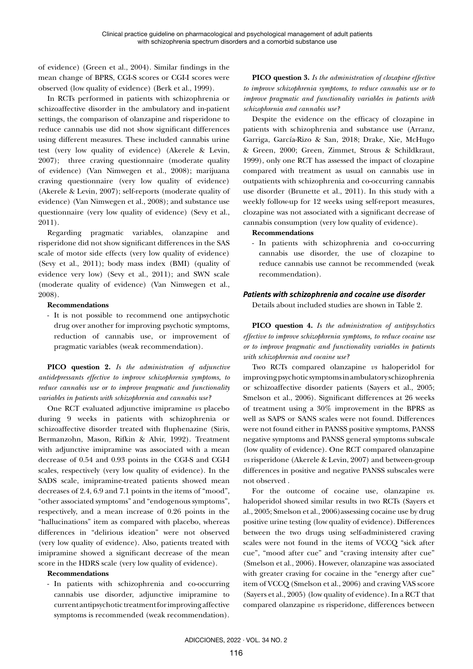of evidence) (Green et al., 2004). Similar findings in the mean change of BPRS, CGI-S scores or CGI-I scores were observed (low quality of evidence) (Berk et al., 1999).

In RCTs performed in patients with schizophrenia or schizoaffective disorder in the ambulatory and in-patient settings, the comparison of olanzapine and risperidone to reduce cannabis use did not show significant differences using different measures. These included cannabis urine test (very low quality of evidence) (Akerele & Levin, 2007); three craving questionnaire (moderate quality of evidence) (Van Nimwegen et al., 2008); marijuana craving questionnaire (very low quality of evidence) (Akerele & Levin, 2007); self-reports (moderate quality of evidence) (Van Nimwegen et al., 2008); and substance use questionnaire (very low quality of evidence) (Sevy et al., 2011).

Regarding pragmatic variables, olanzapine and risperidone did not show significant differences in the SAS scale of motor side effects (very low quality of evidence) (Sevy et al., 2011); body mass index (BMI) (quality of evidence very low) (Sevy et al., 2011); and SWN scale (moderate quality of evidence) (Van Nimwegen et al., 2008).

#### **Recommendations**

- It is not possible to recommend one antipsychotic drug over another for improving psychotic symptoms, reduction of cannabis use, or improvement of pragmatic variables (weak recommendation).

**PICO question 2.** *Is the administration of adjunctive antidepressants effective to improve schizophrenia symptoms, to reduce cannabis use or to improve pragmatic and functionality variables in patients with schizophrenia and cannabis use?*

One RCT evaluated adjunctive imipramine *vs* placebo during 9 weeks in patients with schizophrenia or schizoaffective disorder treated with fluphenazine (Siris, Bermanzohn, Mason, Rifkin & Alvir, 1992). Treatment with adjunctive imipramine was associated with a mean decrease of 0.54 and 0.93 points in the CGI-S and CGI-I scales, respectively (very low quality of evidence). In the SADS scale, imipramine-treated patients showed mean decreases of 2.4, 6.9 and 7.1 points in the items of "mood", "other associated symptoms" and "endogenous symptoms", respectively, and a mean increase of 0.26 points in the "hallucinations" item as compared with placebo, whereas differences in "delirious ideation" were not observed (very low quality of evidence). Also, patients treated with imipramine showed a significant decrease of the mean score in the HDRS scale (very low quality of evidence).

## **Recommendations**

- In patients with schizophrenia and co-occurring cannabis use disorder, adjunctive imipramine to current antipsychotic treatment for improving affective symptoms is recommended (weak recommendation).

**PICO question 3.** *Is the administration of clozapine effective to improve schizophrenia symptoms, to reduce cannabis use or to improve pragmatic and functionality variables in patients with schizophrenia and cannabis use?*

Despite the evidence on the efficacy of clozapine in patients with schizophrenia and substance use (Arranz, Garriga, García-Rizo & San, 2018; Drake, Xie, McHugo & Green, 2000; Green, Zimmet, Strous & Schildkraut, 1999), only one RCT has assessed the impact of clozapine compared with treatment as usual on cannabis use in outpatients with schizophrenia and co-occurring cannabis use disorder (Brunette et al., 2011). In this study with a weekly follow-up for 12 weeks using self-report measures, clozapine was not associated with a significant decrease of cannabis consumption (very low quality of evidence).

**Recommendations**

- In patients with schizophrenia and co-occurring cannabis use disorder, the use of clozapine to reduce cannabis use cannot be recommended (weak recommendation).

## *Patients with schizophrenia and cocaine use disorder*

Details about included studies are shown in Table 2.

**PICO question 4.** *Is the administration of antipsychotics effective to improve schizophrenia symptoms, to reduce cocaine use or to improve pragmatic and functionality variables in patients with schizophrenia and cocaine use?*

Two RCTs compared olanzapine *vs* haloperidol for improving psychotic symptoms in ambulatory schizophrenia or schizoaffective disorder patients (Sayers et al., 2005; Smelson et al., 2006). Significant differences at 26 weeks of treatment using a 30% improvement in the BPRS as well as SAPS or SANS scales were not found. Differences were not found either in PANSS positive symptoms, PANSS negative symptoms and PANSS general symptoms subscale (low quality of evidence). One RCT compared olanzapine *vs* risperidone (Akerele & Levin, 2007) and between-group differences in positive and negative PANSS subscales were not observed .

For the outcome of cocaine use, olanzapine *vs.* haloperidol showed similar results in two RCTs (Sayers et al., 2005; Smelson et al., 2006)assessing cocaine use by drug positive urine testing (low quality of evidence). Differences between the two drugs using self-administered craving scales were not found in the items of VCCQ "sick after cue", "mood after cue" and "craving intensity after cue" (Smelson et al., 2006). However, olanzapine was associated with greater craving for cocaine in the "energy after cue" item of VCCQ (Smelson et al., 2006) and craving VAS score (Sayers et al., 2005) (low quality of evidence). In a RCT that compared olanzapine *vs* risperidone, differences between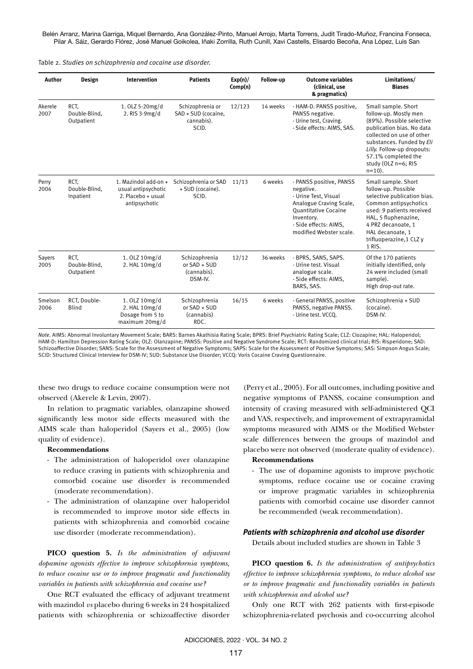Belén Arranz, Marina Garriga, Miquel Bernardo, Ana González-Pinto, Manuel Arrojo, Marta Torrens, Judit Tirado-Muñoz, Francina Fonseca, Pilar A. Sáiz, Gerardo Flórez, José Manuel Goikolea, Iñaki Zorrilla, Ruth Cunill, Xavi Castells, Elisardo Becoña, Ana López, Luis San

Table 2. *Studies on schizophrenia and cocaine use disorder.*

| Author          | Design                              | <b>Intervention</b>                                                                | <b>Patients</b>                                                | Exp(n)/<br>Comp(n) | Follow-up | <b>Outcome variables</b><br>(clinical, use<br>& pragmatics)                                                                                                                       | Limitations/<br><b>Biases</b>                                                                                                                                                                                                                             |
|-----------------|-------------------------------------|------------------------------------------------------------------------------------|----------------------------------------------------------------|--------------------|-----------|-----------------------------------------------------------------------------------------------------------------------------------------------------------------------------------|-----------------------------------------------------------------------------------------------------------------------------------------------------------------------------------------------------------------------------------------------------------|
| Akerele<br>2007 | RCT.<br>Double-Blind.<br>Outpatient | 1. OLZ 5-20mg/d<br>2. RIS 3-9mg/d                                                  | Schizophrenia or<br>SAD + SUD (cocaine,<br>cannabis).<br>SCID. | 12/123             | 14 weeks  | - HAM-D. PANSS positive,<br>PANSS negative.<br>- Urine test, Craving.<br>- Side effects: AIMS, SAS.                                                                               | Small sample. Short<br>follow-up. Mostly men<br>(89%). Possible selective<br>publication bias. No data<br>collected on use of other<br>substances. Funded by Eli<br>Lilly. Follow-up dropouts:<br>57.1% completed the<br>study (OLZ n=6; RIS<br>$n=10$ ). |
| Perry<br>2004   | RCT.<br>Double-Blind.<br>Inpatient  | 1. Mazindol add-on +<br>usual antipsychotic<br>2. Placebo + usual<br>antipsychotic | Schizophrenia or SAD<br>+ SUD (cocaine).<br>SCID.              | 11/13              | 6 weeks   | - PANSS positive, PANSS<br>negative.<br>- Urine Test, Visual<br>Analogue Craving Scale,<br>Quantitative Cocaine<br>Inventory.<br>- Side effects: AIMS.<br>modified Webster scale. | Small sample. Short<br>follow-up. Possible<br>selective publication bias.<br>Common antipsychotics<br>used: 9 patients received<br>HAL, 5 fluphenazine,<br>4 PRZ decanoate, 1<br>HAL decanoate, 1<br>trifluoperazine, 1 CLZ y<br>1 RIS.                   |
| Sayers<br>2005  | RCT.<br>Double-Blind.<br>Outpatient | 1. OLZ 10mg/d<br>2. HAL 10mg/d                                                     | Schizophrenia<br>or SAD + SUD<br>(cannabis).<br>DSM-IV.        | 12/12              | 36 weeks  | - BPRS, SANS, SAPS.<br>- Urine test, Visual<br>analogue scale.<br>- Side effects: AIMS,<br>BARS, SAS.                                                                             | Of the 170 patients<br>initially identified, only<br>24 were included (small<br>sample).<br>High drop-out rate.                                                                                                                                           |
| Smelson<br>2006 | RCT, Double-<br><b>Blind</b>        | 1. OLZ 10mg/d<br>2. HAL 10mg/d<br>Dosage from 5 to<br>maximum 20mg/d               | Schizophrenia<br>or SAD + SUD<br>(cannabis)<br>RDC.            | 16/15              | 6 weeks   | - General PANSS, positive<br>PANSS, negative PANSS.<br>- Urine test. VCCO.                                                                                                        | Schizophrenia + SUD<br>(cocaine).<br>DSM-IV.                                                                                                                                                                                                              |

*Note.* AIMS: Abnormal Involuntary Movement Scale; BARS: Barnes Akathisia Rating Scale; BPRS: Brief Psychiatric Rating Scale; CLZ: Clozapine; HAL: Haloperidol; HAM-D: Hamilton Depression Rating Scale; OLZ: Olanzapine; PANSS: Positive and Negative Syndrome Scale; RCT: Randomized clinical trial; RIS: Risperidone; SAD: Schizoaffective Disorder; SANS: Scale for the Assessment of Negative Symptoms; SAPS: Scale for the Assessment of Positive Symptoms; SAS: Simpson Angus Scale; SCID: Structured Clinical Interview for DSM-IV; SUD: Substance Use Disorder; VCCQ: Voris Cocaine Craving Questionnaire.

these two drugs to reduce cocaine consumption were not observed (Akerele & Levin, 2007).

In relation to pragmatic variables, olanzapine showed significantly less motor side effects measured with the AIMS scale than haloperidol (Sayers et al., 2005) (low quality of evidence).

#### **Recommendations**

- The administration of haloperidol over olanzapine to reduce craving in patients with schizophrenia and comorbid cocaine use disorder is recommended (moderate recommendation).
- The administration of olanzapine over haloperidol is recommended to improve motor side effects in patients with schizophrenia and comorbid cocaine use disorder (moderate recommendation).

**PICO question 5.** *Is the administration of adjuvant dopamine agonists effective to improve schizophrenia symptoms, to reduce cocaine use or to improve pragmatic and functionality variables in patients with schizophrenia and cocaine use?*

One RCT evaluated the efficacy of adjuvant treatment with mazindol *vs* placebo during 6 weeks in 24 hospitalized patients with schizophrenia or schizoaffective disorder

(Perry et al., 2005). For all outcomes, including positive and negative symptoms of PANSS, cocaine consumption and intensity of craving measured with self-administered QCI and VAS, respectively, and improvement of extrapyramidal symptoms measured with AIMS or the Modified Webster scale differences between the groups of mazindol and placebo were not observed (moderate quality of evidence).

#### **Recommendations**

- The use of dopamine agonists to improve psychotic symptoms, reduce cocaine use or cocaine craving or improve pragmatic variables in schizophrenia patients with comorbid cocaine use disorder cannot be recommended (weak recommendation).

#### *Patients with schizophrenia and alcohol use disorder*

Details about included studies are shown in Table 3

**PICO question 6.** *Is the administration of antipsychotics effective to improve schizophrenia symptoms, to reduce alcohol use or to improve pragmatic and functionality variables in patients with schizophrenia and alcohol use?*

Only one RCT with 262 patients with first-episode schizophrenia-related psychosis and co-occurring alcohol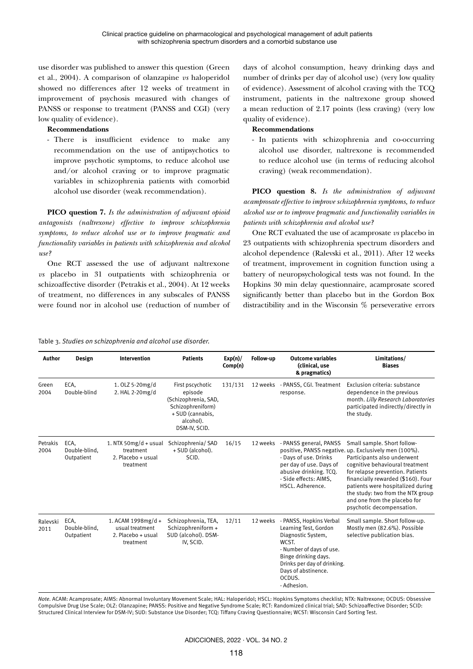use disorder was published to answer this question (Green et al., 2004). A comparison of olanzapine *vs* haloperidol showed no differences after 12 weeks of treatment in improvement of psychosis measured with changes of PANSS or response to treatment (PANSS and CGI) (very low quality of evidence).

## **Recommendations**

- There is insufficient evidence to make any recommendation on the use of antipsychotics to improve psychotic symptoms, to reduce alcohol use and/or alcohol craving or to improve pragmatic variables in schizophrenia patients with comorbid alcohol use disorder (weak recommendation).

**PICO question 7.** *Is the administration of adjuvant opioid antagonists (naltrexone) effective to improve schizophrenia symptoms, to reduce alcohol use or to improve pragmatic and functionality variables in patients with schizophrenia and alcohol use?*

One RCT assessed the use of adjuvant naltrexone *vs* placebo in 31 outpatients with schizophrenia or schizoaffective disorder (Petrakis et al., 2004). At 12 weeks of treatment, no differences in any subscales of PANSS were found nor in alcohol use (reduction of number of days of alcohol consumption, heavy drinking days and number of drinks per day of alcohol use) (very low quality of evidence). Assessment of alcohol craving with the TCQ instrument, patients in the naltrexone group showed a mean reduction of 2.17 points (less craving) (very low quality of evidence).

## **Recommendations**

- In patients with schizophrenia and co-occurring alcohol use disorder, naltrexone is recommended to reduce alcohol use (in terms of reducing alcohol craving) (weak recommendation).

**PICO question 8.** *Is the administration of adjuvant acamprosate effective to improve schizophrenia symptoms, to reduce alcohol use or to improve pragmatic and functionality variables in patients with schizophrenia and alcohol use?*

One RCT evaluated the use of acamprosate *vs* placebo in 23 outpatients with schizophrenia spectrum disorders and alcohol dependence (Ralevski et al., 2011). After 12 weeks of treatment, improvement in cognition function using a battery of neuropsychological tests was not found. In the Hopkins 30 min delay questionnaire, acamprosate scored significantly better than placebo but in the Gordon Box distractibility and in the Wisconsin % perseverative errors

#### Table 3. *Studies on schizophrenia and alcohol use disorder.*

| Author           | Design                              | Intervention                                                               | <b>Patients</b>                                                                                                            | Exp(n)/<br>Comp(n) | Follow-up | <b>Outcome variables</b><br>(clinical, use<br>& pragmatics)                                                                                                                                                        | Limitations/<br><b>Biases</b>                                                                                                                                                                                                                                                                                                                                           |
|------------------|-------------------------------------|----------------------------------------------------------------------------|----------------------------------------------------------------------------------------------------------------------------|--------------------|-----------|--------------------------------------------------------------------------------------------------------------------------------------------------------------------------------------------------------------------|-------------------------------------------------------------------------------------------------------------------------------------------------------------------------------------------------------------------------------------------------------------------------------------------------------------------------------------------------------------------------|
| Green<br>2004    | ECA.<br>Double-blind                | 1.0LZ 5-20mg/d<br>2. HAL 2-20mg/d                                          | First pscychotic<br>episode<br>(Schizophrenia, SAD,<br>Schizophreniform)<br>+ SUD (cannabis,<br>alcohol).<br>DSM-IV, SCID. | 131/131            |           | 12 weeks - PANSS, CGI. Treatment<br>response.                                                                                                                                                                      | Exclusion criteria: substance<br>dependence in the previous<br>month. Lilly Research Laboratories<br>participated indirectly/directly in<br>the study.                                                                                                                                                                                                                  |
| Petrakis<br>2004 | ECA.<br>Double-blind.<br>Outpatient | 1. NTX 50 $mg/d + usual$<br>treatment<br>2. Placebo + usual<br>treatment   | Schizophrenia/ SAD<br>+ SUD (alcohol).<br>SCID.                                                                            | 16/15              | 12 weeks  | - PANSS general, PANSS<br>- Days of use. Drinks<br>per day of use. Days of<br>abusive drinking. TCQ.<br>- Side effects: AIMS.<br>HSCL. Adherence.                                                                  | Small sample. Short follow-<br>positive, PANSS negative. up. Exclusively men (100%).<br>Participants also underwent<br>cognitive behavioural treatment<br>for relapse prevention. Patients<br>financially rewarded (\$160). Four<br>patients were hospitalized during<br>the study: two from the NTX group<br>and one from the placebo for<br>psychotic decompensation. |
| Ralevski<br>2011 | ECA.<br>Double-blind.<br>Outpatient | 1. ACAM $1998mg/d +$<br>usual treatment<br>2. Placebo + usual<br>treatment | Schizophrenia, TEA,<br>Schizophreniform +<br>SUD (alcohol). DSM-<br>IV, SCID.                                              | 12/11              | 12 weeks  | - PANSS, Hopkins Verbal<br>Learning Test, Gordon<br>Diagnostic System,<br>WCST.<br>- Number of days of use.<br>Binge drinking days.<br>Drinks per day of drinking.<br>Days of abstinence.<br>OCDUS.<br>- Adhesion. | Small sample. Short follow-up.<br>Mostly men (82.6%). Possible<br>selective publication bias.                                                                                                                                                                                                                                                                           |

*Note.* ACAM: Acamprosate; AIMS: Abnormal Involuntary Movement Scale; HAL: Haloperidol; HSCL: Hopkins Symptoms checklist; NTX: Naltrexone; OCDUS: Obsessive Compulsive Drug Use Scale; OLZ: Olanzapine; PANSS: Positive and Negative Syndrome Scale; RCT: Randomized clinical trial; SAD: Schizoaffective Disorder; SCID: Structured Clinical Interview for DSM-IV; SUD: Substance Use Disorder; TCQ: Tiffany Craving Questionnaire; WCST: Wisconsin Card Sorting Test.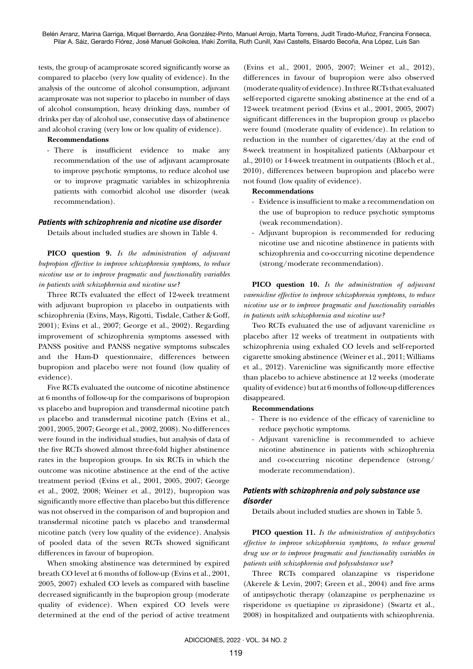tests, the group of acamprosate scored significantly worse as compared to placebo (very low quality of evidence). In the analysis of the outcome of alcohol consumption, adjuvant acamprosate was not superior to placebo in number of days of alcohol consumption, heavy drinking days, number of drinks per day of alcohol use, consecutive days of abstinence and alcohol craving (very low or low quality of evidence).

#### **Recommendations**

- There is insufficient evidence to make any recommendation of the use of adjuvant acamprosate to improve psychotic symptoms, to reduce alcohol use or to improve pragmatic variables in schizophrenia patients with comorbid alcohol use disorder (weak recommendation).

#### *Patients with schizophrenia and nicotine use disorder*

Details about included studies are shown in Table 4.

**PICO question 9.** *Is the administration of adjuvant bupropion effective to improve schizophrenia symptoms, to reduce nicotine use or to improve pragmatic and functionality variables in patients with schizophrenia and nicotine use?*

Three RCTs evaluated the effect of 12-week treatment with adjuvant bupropion *vs* placebo in outpatients with schizophrenia (Evins, Mays, Rigotti, Tisdale, Cather & Goff, 2001); Evins et al., 2007; George et al., 2002). Regarding improvement of schizophrenia symptoms assessed with PANSS positive and PANSS negative symptoms subscales and the Ham-D questionnaire, differences between bupropion and placebo were not found (low quality of evidence).

Five RCTs evaluated the outcome of nicotine abstinence at 6 months of follow-up for the comparisons of bupropion vs placebo and bupropion and transdermal nicotine patch *vs* placebo and transdermal nicotine patch (Evins et al., 2001, 2005, 2007; George et al., 2002, 2008). No differences were found in the individual studies, but analysis of data of the five RCTs showed almost three-fold higher abstinence rates in the bupropion groups. In six RCTs in which the outcome was nicotine abstinence at the end of the active treatment period (Evins et al., 2001, 2005, 2007; George et al., 2002, 2008; Weiner et al., 2012), bupropion was significantly more effective than placebo but this difference was not observed in the comparison of and bupropion and transdermal nicotine patch vs placebo and transdermal nicotine patch (very low quality of the evidence). Analysis of pooled data of the seven RCTs showed significant differences in favour of bupropion.

When smoking abstinence was determined by expired breath CO level at 6 months of follow-up (Evins et al., 2001, 2005, 2007) exhaled CO levels as compared with baseline decreased significantly in the bupropion group (moderate quality of evidence). When expired CO levels were determined at the end of the period of active treatment

(Evins et al., 2001, 2005, 2007; Weiner et al., 2012), differences in favour of bupropion were also observed (moderate quality of evidence). In three RCTs that evaluated self-reported cigarette smoking abstinence at the end of a 12-week treatment period (Evins et al., 2001, 2005, 2007) significant differences in the bupropion group *vs* placebo were found (moderate quality of evidence). In relation to reduction in the number of cigarettes/day at the end of 8-week treatment in hospitalized patients (Akbarpour et al., 2010) or 14-week treatment in outpatients (Bloch et al., 2010), differences between bupropion and placebo were not found (low quality of evidence).

#### **Recommendations**

- Evidence is insufficient to make a recommendation on the use of bupropion to reduce psychotic symptoms (weak recommendation).
- Adjuvant bupropion is recommended for reducing nicotine use and nicotine abstinence in patients with schizophrenia and co-occurring nicotine dependence (strong/moderate recommendation).

**PICO question 10.** *Is the administration of adjuvant varenicline effective to improve schizophrenia symptoms, to reduce nicotine use or to improve pragmatic and functionality variables in patients with schizophrenia and nicotine use?*

Two RCTs evaluated the use of adjuvant varenicline *vs* placebo after 12 weeks of treatment in outpatients with schizophrenia using exhaled CO levels and self-reported cigarette smoking abstinence (Weiner et al., 2011; Williams et al., 2012). Varenicline was significantly more effective than placebo to achieve abstinence at 12 weeks (moderate quality of evidence) but at 6 months of follow-up differences disappeared.

#### **Recommendations**

- There is no evidence of the efficacy of varenicline to reduce psychotic symptoms.
- Adjuvant varenicline is recommended to achieve nicotine abstinence in patients with schizophrenia and co-occurring nicotine dependence (strong/ moderate recommendation).

## *Patients with schizophrenia and poly substance use disorder*

Details about included studies are shown in Table 5.

**PICO question 11.** *Is the administration of antipsychotics effective to improve schizophrenia symptoms, to reduce general drug use or to improve pragmatic and functionality variables in patients with schizophrenia and polysubstance use?*

Three RCTs compared olanzapine vs risperidone (Akerele & Levin, 2007; Green et al., 2004) and five arms of antipsychotic therapy (olanzapine *vs* perphenazine *vs* risperidone *vs* quetiapine *vs* ziprasidone) (Swartz et al., 2008) in hospitalized and outpatients with schizophrenia.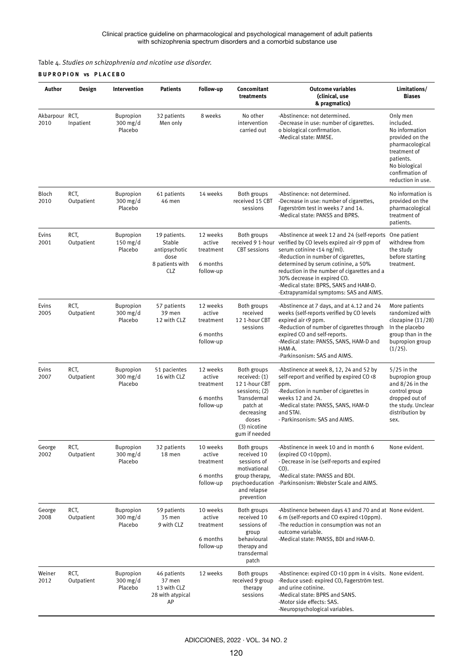Table 4. *Studies on schizophrenia and nicotine use disorder.*

## **B U P R O P I O N vs P L A C E B O**

| Author                 | Design             | Intervention                              | <b>Patients</b>                                                           | Follow-up                                                | Concomitant<br>treatments                                                                                                                         | <b>Outcome variables</b><br>(clinical, use<br>& pragmatics)                                                                                                                                                                                                                                                                                                                                | Limitations/<br><b>Biases</b>                                                                                                                                       |
|------------------------|--------------------|-------------------------------------------|---------------------------------------------------------------------------|----------------------------------------------------------|---------------------------------------------------------------------------------------------------------------------------------------------------|--------------------------------------------------------------------------------------------------------------------------------------------------------------------------------------------------------------------------------------------------------------------------------------------------------------------------------------------------------------------------------------------|---------------------------------------------------------------------------------------------------------------------------------------------------------------------|
| Akbarpour RCT,<br>2010 | Inpatient          | <b>Bupropion</b><br>$300$ mg/d<br>Placebo | 32 patients<br>Men only                                                   | 8 weeks                                                  | No other<br>intervention<br>carried out                                                                                                           | -Abstinence: not determined.<br>-Decrease in use: number of cigarettes.<br>o biological confirmation.<br>-Medical state: MMSE.                                                                                                                                                                                                                                                             | Only men<br>included.<br>No information<br>provided on the<br>pharmacological<br>treatment of<br>patients.<br>No biological<br>confirmation of<br>reduction in use. |
| Bloch<br>2010          | RCT,<br>Outpatient | <b>Bupropion</b><br>$300$ mg/d<br>Placebo | 61 patients<br>46 men                                                     | 14 weeks                                                 | Both groups<br>received 15 CBT<br>sessions                                                                                                        | -Abstinence: not determined.<br>-Decrease in use: number of cigarettes,<br>Fagerström test in weeks 7 and 14.<br>-Medical state: PANSS and BPRS.                                                                                                                                                                                                                                           | No information is<br>provided on the<br>pharmacological<br>treatment of<br>patients.                                                                                |
| Evins<br>2001          | RCT,<br>Outpatient | <b>Bupropion</b><br>$150$ mg/d<br>Placebo | 19 patients.<br>Stable<br>antipsychotic<br>dose<br>8 patients with<br>CLZ | 12 weeks<br>active<br>treatment<br>6 months<br>follow-up | Both groups<br><b>CBT</b> sessions                                                                                                                | -Abstinence at week 12 and 24 (self-reports<br>received 9 1-hour verified by CO levels expired air <9 ppm of<br>serum cotinine <14 ng/ml).<br>-Reduction in number of cigarettes,<br>determined by serum cotinine, a 50%<br>reduction in the number of cigarettes and a<br>30% decrease in expired CO.<br>-Medical state: BPRS, SANS and HAM-D.<br>-Extrapyramidal symptoms: SAS and AIMS. | One patient<br>withdrew from<br>the study<br>before starting<br>treatment.                                                                                          |
| Evins<br>2005          | RCT,<br>Outpatient | Bupropion<br>$300$ mg/d<br>Placebo        | 57 patients<br>39 men<br>12 with CLZ                                      | 12 weeks<br>active<br>treatment<br>6 months<br>follow-up | Both groups<br>received<br>12 1-hour CBT<br>sessions                                                                                              | -Abstinence at 7 days, and at 4.12 and 24<br>weeks (self-reports verified by CO levels<br>expired air <9 ppm.<br>-Reduction of number of cigarettes through<br>expired CO and self-reports.<br>-Medical state: PANSS, SANS, HAM-D and<br>HAM-A.<br>-Parkinsonism: SAS and AIMS.                                                                                                            | More patients<br>randomized with<br>clozapine (11/28)<br>In the placebo<br>group than in the<br>bupropion group<br>$(1/25)$ .                                       |
| Evins<br>2007          | RCT,<br>Outpatient | <b>Bupropion</b><br>$300$ mg/d<br>Placebo | 51 pacientes<br>16 with CLZ                                               | 12 weeks<br>active<br>treatment<br>6 months<br>follow-up | Both groups<br>received: (1)<br>12 1-hour CBT<br>sessions; (2)<br>Transdermal<br>patch at<br>decreasing<br>doses<br>(3) nicotine<br>gum if needed | -Abstinence at week 8, 12, 24 and 52 by<br>self-report and verified by expired CO <8<br>ppm.<br>-Reduction in number of cigarettes in<br>weeks 12 and 24.<br>-Medical state: PANSS, SANS, HAM-D<br>and STAI.<br>- Parkinsonism: SAS and AIMS.                                                                                                                                              | $5/25$ in the<br>bupropion group<br>and $8/26$ in the<br>control group<br>dropped out of<br>the study. Unclear<br>distribution by<br>sex.                           |
| George<br>2002         | RCT,<br>Outpatient | Bupropion<br>$300$ mg/d<br>Placebo        | 32 patients<br>18 men                                                     | 10 weeks<br>active<br>treatment<br>6 months<br>follow-up | Both groups<br>received 10<br>sessions of<br>motivational<br>group therapy,<br>psychoeducation<br>and relapse<br>prevention                       | -Abstinence in week 10 and in month 6<br>(expired CO <10ppm).<br>- Decrease in ise (self-reports and expired<br>$CO$ ).<br>-Medical state: PANSS and BDI.<br>-Parkinsonism: Webster Scale and AIMS.                                                                                                                                                                                        | None evident.                                                                                                                                                       |
| George<br>2008         | RCT,<br>Outpatient | Bupropion<br>$300$ mg/d<br>Placebo        | 59 patients<br>35 men<br>9 with CLZ                                       | 10 weeks<br>active<br>treatment<br>6 months<br>follow-up | Both groups<br>received 10<br>sessions of<br>group<br>behavioural<br>therapy and<br>transdermal<br>patch                                          | -Abstinence between days 43 and 70 and at None evident.<br>6 m (self-reports and CO expired <10ppm).<br>-The reduction in consumption was not an<br>outcome variable.<br>-Medical state: PANSS, BDI and HAM-D.                                                                                                                                                                             |                                                                                                                                                                     |
| Weiner<br>2012         | RCT,<br>Outpatient | <b>Bupropion</b><br>$300$ mg/d<br>Placebo | 46 patients<br>37 men<br>13 with CLZ<br>28 with atypical<br>AP            | 12 weeks                                                 | Both groups<br>received 9 group<br>therapy<br>sessions                                                                                            | -Abstinence: expired CO <10 ppm in 4 visits. None evident.<br>-Reduce used: expired CO, Fagerström test.<br>and urine cotinine.<br>-Medical state: BPRS and SANS.<br>-Motor side effects: SAS.<br>-Neuropsychological variables.                                                                                                                                                           |                                                                                                                                                                     |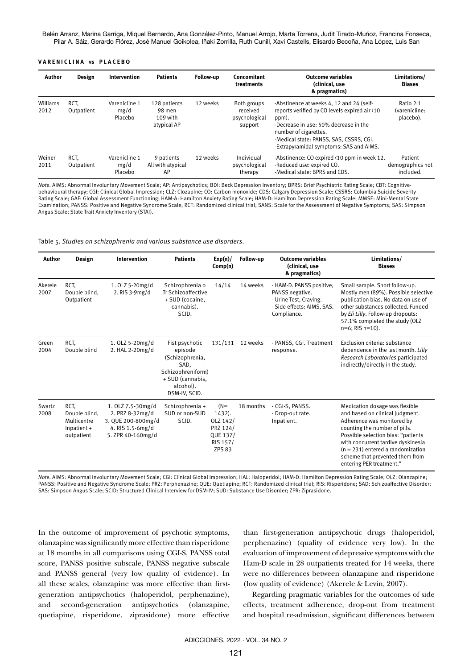Belén Arranz, Marina Garriga, Miquel Bernardo, Ana González-Pinto, Manuel Arrojo, Marta Torrens, Judit Tirado-Muñoz, Francina Fonseca, Pilar A. Sáiz, Gerardo Flórez, José Manuel Goikolea, Iñaki Zorrilla, Ruth Cunill, Xavi Castells, Elisardo Becoña, Ana López, Luis San

#### **V A R E N I C L I N A vs P L A C E B O**

| Author           | Design             | Intervention                     | <b>Patients</b>                                   | Follow-up | Concomitant<br>treatments                           | <b>Outcome variables</b><br>(clinical, use<br>& pragmatics)                                                                                                                                                                                                | Limitations/<br><b>Biases</b>            |
|------------------|--------------------|----------------------------------|---------------------------------------------------|-----------|-----------------------------------------------------|------------------------------------------------------------------------------------------------------------------------------------------------------------------------------------------------------------------------------------------------------------|------------------------------------------|
| Williams<br>2012 | RCT.<br>Outpatient | Varenicline 1<br>mg/d<br>Placebo | 128 patients<br>98 men<br>109 with<br>atypical AP | 12 weeks  | Both groups<br>received<br>psychological<br>support | -Abstinence at weeks 4, 12 and 24 (self-<br>reports verified by CO levels expired air <10<br>ppm).<br>-Decrease in use: 50% decrease in the<br>number of cigarettes.<br>-Medical state: PANSS, SAS, CSSRS, CGI.<br>-Extrapyramidal symptoms: SAS and AIMS. | Ratio 2:1<br>(varenicline:<br>placebo).  |
| Weiner<br>2011   | RCT.<br>Outpatient | Varenicline 1<br>mg/d<br>Placebo | 9 patients<br>All with atypical<br>AP             | 12 weeks  | Individual<br>psychological<br>therapy              | -Abstinence: CO expired <10 ppm in week 12.<br>-Reduced use: expired CO.<br>-Medical state: BPRS and CDS.                                                                                                                                                  | Patient<br>demographics not<br>included. |

*Note.* AIMS: Abnormal Involuntary Movement Scale; AP: Antipsychotics; BDI: Beck Depression Inventory; BPRS: Brief Psychiatric Rating Scale; CBT: Cognitivebehavioural therapy; CGI: Clinical Global Impression; CLZ: Clozapine; CO: Carbon monoxide; CDS: Calgary Depression Scale; CSSRS: Columbia Suicide Severity Rating Scale; GAF: Global Assessment Functioning; HAM-A: Hamilton Anxiety Rating Scale; HAM-D: Hamilton Depression Rating Scale; MMSE: Mini-Mental State Examination; PANSS: Positive and Negative Syndrome Scale; RCT: Randomized clinical trial; SANS: Scale for the Assessment of Negative Symptoms; SAS: Simpson Angus Scale; State Trait Anxiety Inventory (STAI).

#### Table 5. *Studies on schizophrenia and various substance use disorders.*

| Author          | Design                                                            | Intervention                                                                                        | <b>Patients</b>                                                                                                             | Exp(n)/<br>Comp(n)                                                               | Follow-up | <b>Outcome variables</b><br>(clinical, use<br>& pragmatics)                                                        | Limitations/<br><b>Biases</b>                                                                                                                                                                                                                                                                                      |
|-----------------|-------------------------------------------------------------------|-----------------------------------------------------------------------------------------------------|-----------------------------------------------------------------------------------------------------------------------------|----------------------------------------------------------------------------------|-----------|--------------------------------------------------------------------------------------------------------------------|--------------------------------------------------------------------------------------------------------------------------------------------------------------------------------------------------------------------------------------------------------------------------------------------------------------------|
| Akerele<br>2007 | RCT.<br>Double blind.<br>Outpatient                               | 1. OLZ 5-20mg/d<br>2. RIS 3-9mg/d                                                                   | Schizophrenia o<br>Tr Schizoaffective<br>+ SUD (cocaine,<br>cannabis).<br>SCID.                                             | 14/14                                                                            | 14 weeks  | - HAM-D. PANSS positive,<br>PANSS negative.<br>- Urine Test, Craving.<br>- Side effects: AIMS, SAS.<br>Compliance. | Small sample. Short follow-up.<br>Mostly men (89%). Possible selective<br>publication bias. No data on use of<br>other substances collected. Funded<br>by Eli Lilly. Follow-up dropouts:<br>57.1% completed the study (OLZ<br>$n=6$ ; RIS $n=10$ ).                                                                |
| Green<br>2004   | RCT.<br>Double blind                                              | 1. OLZ 5-20mg/d<br>2. HAL 2-20mg/d                                                                  | Fist psychotic<br>episode<br>(Schizophrenia,<br>SAD.<br>Schizophreniform)<br>+ SUD (cannabis,<br>alcohol).<br>DSM-IV, SCID. | 131/131                                                                          | 12 weeks  | - PANSS, CGI. Treatment<br>response.                                                                               | Exclusion criteria: substance<br>dependence in the last month. Lilly<br>Research Laboratories participated<br>indirectly/directly in the study.                                                                                                                                                                    |
| Swartz<br>2008  | RCT.<br>Double blind,<br>Multicentre<br>Inpatient +<br>outpatient | 1. OLZ 7.5-30mg/d<br>2. PRZ 8-32mg/d<br>3. QUE 200-800mg/d<br>4. RIS 1.5-6mg/d<br>5. ZPR 40-160mg/d | Schizophrenia +<br>SUD or non-SUD<br>SCID.                                                                                  | $(N=$<br>1432).<br>OLZ 142/<br>PRZ 124/<br>QUE 137/<br>RIS 157/<br><b>ZPS 83</b> | 18 months | - CGI-S, PANSS.<br>- Drop-out rate.<br>Inpatient.                                                                  | Medication dosage was flexible<br>and based on clinical judgment.<br>Adherence was monitored by<br>counting the number of pills.<br>Possible selection bias: "patients<br>with concurrent tardive dyskinesia<br>$(n = 231)$ entered a randomization<br>scheme that prevented them from<br>entering PER treatment." |

*Note.* AIMS: Abnormal Involuntary Movement Scale; CGI: Clinical Global Impression; HAL: Haloperidol; HAM-D: Hamilton Depression Rating Scale; OLZ: Olanzapine; PANSS: Positive and Negative Syndrome Scale; PRZ: Perphenazine; QUE: Quetiapine; RCT: Randomized clinical trial; RIS: Risperidone; SAD: Schizoaffective Disorder; SAS: Simpson Angus Scale; SCID: Structured Clinical Interview for DSM-IV; SUD: Substance Use Disorder; ZPR: Ziprasidone.

In the outcome of improvement of psychotic symptoms, olanzapine was significantly more effective than risperidone at 18 months in all comparisons using CGI-S, PANSS total score, PANSS positive subscale, PANSS negative subscale and PANSS general (very low quality of evidence). In all these scales, olanzapine was more effective than firstgeneration antipsychotics (haloperidol, perphenazine), and second-generation antipsychotics (olanzapine, quetiapine, risperidone, ziprasidone) more effective

than first-generation antipsychotic drugs (haloperidol, perphenazine) (quality of evidence very low). In the evaluation of improvement of depressive symptoms with the Ham-D scale in 28 outpatients treated for 14 weeks, there were no differences between olanzapine and risperidone (low quality of evidence) (Akerele & Levin, 2007).

Regarding pragmatic variables for the outcomes of side effects, treatment adherence, drop-out from treatment and hospital re-admission, significant differences between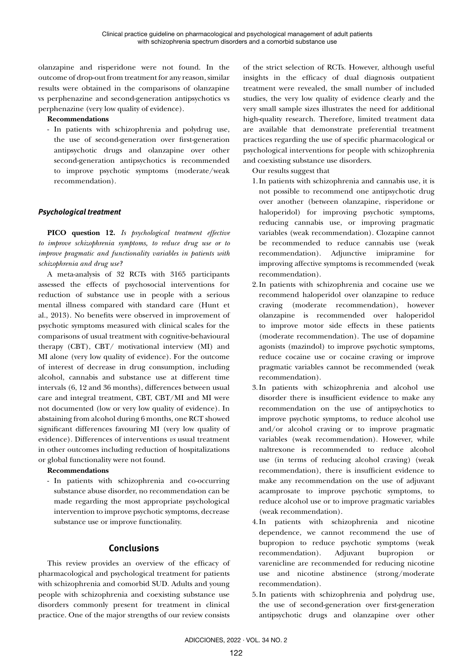olanzapine and risperidone were not found. In the outcome of drop-out from treatment for any reason, similar results were obtained in the comparisons of olanzapine vs perphenazine and second-generation antipsychotics vs perphenazine (very low quality of evidence).

**Recommendations**

- In patients with schizophrenia and polydrug use, the use of second-generation over first-generation antipsychotic drugs and olanzapine over other second-generation antipsychotics is recommended to improve psychotic symptoms (moderate/weak recommendation).

# *Psychological treatment*

**PICO question 12.** *Is psychological treatment effective to improve schizophrenia symptoms, to reduce drug use or to improve pragmatic and functionality variables in patients with schizophrenia and drug use?*

A meta-analysis of 32 RCTs with 3165 participants assessed the effects of psychosocial interventions for reduction of substance use in people with a serious mental illness compared with standard care (Hunt et al., 2013). No benefits were observed in improvement of psychotic symptoms measured with clinical scales for the comparisons of usual treatment with cognitive-behavioural therapy (CBT), CBT/ motivational interview (MI) and MI alone (very low quality of evidence). For the outcome of interest of decrease in drug consumption, including alcohol, cannabis and substance use at different time intervals (6, 12 and 36 months), differences between usual care and integral treatment, CBT, CBT/MI and MI were not documented (low or very low quality of evidence). In abstaining from alcohol during 6 months, one RCT showed significant differences favouring MI (very low quality of evidence). Differences of interventions *vs* usual treatment in other outcomes including reduction of hospitalizations or global functionality were not found.

## **Recommendations**

- In patients with schizophrenia and co-occurring substance abuse disorder, no recommendation can be made regarding the most appropriate psychological intervention to improve psychotic symptoms, decrease substance use or improve functionality.

# **Conclusions**

This review provides an overview of the efficacy of pharmacological and psychological treatment for patients with schizophrenia and comorbid SUD. Adults and young people with schizophrenia and coexisting substance use disorders commonly present for treatment in clinical practice. One of the major strengths of our review consists of the strict selection of RCTs. However, although useful insights in the efficacy of dual diagnosis outpatient treatment were revealed, the small number of included studies, the very low quality of evidence clearly and the very small sample sizes illustrates the need for additional high-quality research. Therefore, limited treatment data are available that demonstrate preferential treatment practices regarding the use of specific pharmacological or psychological interventions for people with schizophrenia and coexisting substance use disorders.

Our results suggest that

- 1.In patients with schizophrenia and cannabis use, it is not possible to recommend one antipsychotic drug over another (between olanzapine, risperidone or haloperidol) for improving psychotic symptoms, reducing cannabis use, or improving pragmatic variables (weak recommendation). Clozapine cannot be recommended to reduce cannabis use (weak recommendation). Adjunctive imipramine for improving affective symptoms is recommended (weak recommendation).
- 2.In patients with schizophrenia and cocaine use we recommend haloperidol over olanzapine to reduce craving (moderate recommendation), however olanzapine is recommended over haloperidol to improve motor side effects in these patients (moderate recommendation). The use of dopamine agonists (mazindol) to improve psychotic symptoms, reduce cocaine use or cocaine craving or improve pragmatic variables cannot be recommended (weak recommendation).
- 3.In patients with schizophrenia and alcohol use disorder there is insufficient evidence to make any recommendation on the use of antipsychotics to improve psychotic symptoms, to reduce alcohol use and/or alcohol craving or to improve pragmatic variables (weak recommendation). However, while naltrexone is recommended to reduce alcohol use (in terms of reducing alcohol craving) (weak recommendation), there is insufficient evidence to make any recommendation on the use of adjuvant acamprosate to improve psychotic symptoms, to reduce alcohol use or to improve pragmatic variables (weak recommendation).
- 4.In patients with schizophrenia and nicotine dependence, we cannot recommend the use of bupropion to reduce psychotic symptoms (weak recommendation). Adjuvant bupropion or varenicline are recommended for reducing nicotine use and nicotine abstinence (strong/moderate recommendation).
- 5.In patients with schizophrenia and polydrug use, the use of second-generation over first-generation antipsychotic drugs and olanzapine over other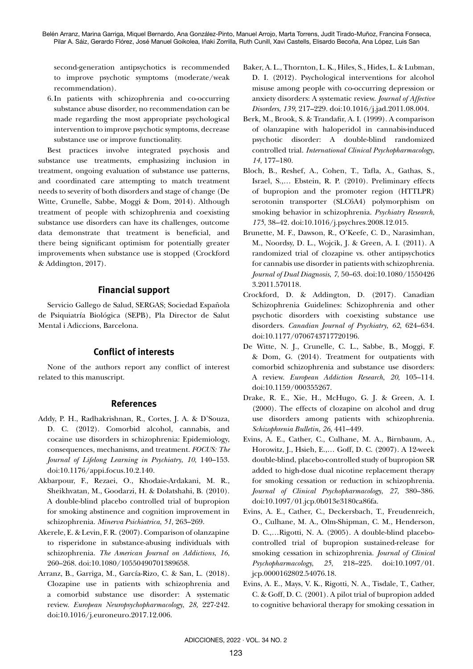second-generation antipsychotics is recommended to improve psychotic symptoms (moderate/weak recommendation).

6.In patients with schizophrenia and co-occurring substance abuse disorder, no recommendation can be made regarding the most appropriate psychological intervention to improve psychotic symptoms, decrease substance use or improve functionality.

Best practices involve integrated psychosis and substance use treatments, emphasizing inclusion in treatment, ongoing evaluation of substance use patterns, and coordinated care attempting to match treatment needs to severity of both disorders and stage of change (De Witte, Crunelle, Sabbe, Moggi & Dom, 2014). Although treatment of people with schizophrenia and coexisting substance use disorders can have its challenges, outcome data demonstrate that treatment is beneficial, and there being significant optimism for potentially greater improvements when substance use is stopped (Crockford & Addington, 2017).

# **Financial support**

Servicio Gallego de Salud, SERGAS; Sociedad Española de Psiquiatría Biológica (SEPB), Pla Director de Salut Mental i Adiccions, Barcelona.

# **Conflict of interests**

None of the authors report any conflict of interest related to this manuscript.

# **References**

- Addy, P. H., Radhakrishnan, R., Cortes, J. A. & D'Souza, D. C. (2012). Comorbid alcohol, cannabis, and cocaine use disorders in schizophrenia: Epidemiology, consequences, mechanisms, and treatment. *FOCUS: The Journal of Lifelong Learning in Psychiatry*, *10*, 140–153. doi:10.1176/appi.focus.10.2.140.
- Akbarpour, F., Rezaei, O., Khodaie-Ardakani, M. R., Sheikhvatan, M., Goodarzi, H. & Dolatshahi, B. (2010). A double-blind placebo controlled trial of bupropion for smoking abstinence and cognition improvement in schizophrenia. *Minerva Psichiatrica*, *51*, 263–269.
- Akerele, E. & Levin, F. R. (2007). Comparison of olanzapine to risperidone in substance-abusing individuals with schizophrenia. *The American Journal on Addictions*, *16*, 260–268. doi:10.1080/10550490701389658.
- Arranz, B., Garriga, M., García-Rizo, C. & San, L. (2018). Clozapine use in patients with schizophrenia and a comorbid substance use disorder: A systematic review. *European Neuropsychopharmacology*, *28,* 227-242. doi:10.1016/j.euroneuro.2017.12.006.
- Baker, A. L., Thornton, L. K., Hiles, S., Hides, L. & Lubman, D. I. (2012). Psychological interventions for alcohol misuse among people with co-occurring depression or anxiety disorders: A systematic review. *Journal of Affective Disorders*, *139*, 217–229. doi:10.1016/j.jad.2011.08.004.
- Berk, M., Brook, S. & Trandafir, A. I. (1999). A comparison of olanzapine with haloperidol in cannabis-induced psychotic disorder: A double-blind randomized controlled trial. *International Clinical Psychopharmacology*, *14*, 177–180.
- Bloch, B., Reshef, A., Cohen, T., Tafla, A., Gathas, S., Israel, S.,… Ebstein, R. P. (2010). Preliminary effects of bupropion and the promoter region (HTTLPR) serotonin transporter (SLC6A4) polymorphism on smoking behavior in schizophrenia. *Psychiatry Research*, *175*, 38–42. doi:10.1016/j.psychres.2008.12.015.
- Brunette, M. F., Dawson, R., O'Keefe, C. D., Narasimhan, M., Noordsy, D. L., Wojcik, J. & Green, A. I. (2011). A randomized trial of clozapine vs. other antipsychotics for cannabis use disorder in patients with schizophrenia. *Journal of Dual Diagnosis*, *7*, 50–63. doi:10.1080/1550426 3.2011.570118.
- Crockford, D. & Addington, D. (2017). Canadian Schizophrenia Guidelines: Schizophrenia and other psychotic disorders with coexisting substance use disorders. *Canadian Journal of Psychiatry*, *62*, 624–634. doi:10.1177/0706743717720196.
- De Witte, N. J., Crunelle, C. L., Sabbe, B., Moggi, F. & Dom, G. (2014). Treatment for outpatients with comorbid schizophrenia and substance use disorders: A review. *European Addiction Research*, *20*, 105–114. doi:10.1159/000355267.
- Drake, R. E., Xie, H., McHugo, G. J. & Green, A. I. (2000). The effects of clozapine on alcohol and drug use disorders among patients with schizophrenia. *Schizophrenia Bulletin*, *26*, 441–449.
- Evins, A. E., Cather, C., Culhane, M. A., Birnbaum, A., Horowitz, J., Hsieh, E.,… Goff, D. C. (2007). A 12-week double-blind, placebo-controlled study of bupropion SR added to high-dose dual nicotine replacement therapy for smoking cessation or reduction in schizophrenia. *Journal of Clinical Psychopharmacology*, *27*, 380–386. doi:10.1097/01.jcp.0b013e3180ca86fa.
- Evins, A. E., Cather, C., Deckersbach, T., Freudenreich, O., Culhane, M. A., Olm-Shipman, C. M., Henderson, D. C.,…Rigotti, N. A. (2005). A double-blind placebocontrolled trial of bupropion sustained-release for smoking cessation in schizophrenia. *Journal of Clinical Psychopharmacology*, *25*, 218–225. doi:10.1097/01. jcp.0000162802.54076.18.
- Evins, A. E., Mays, V. K., Rigotti, N. A., Tisdale, T., Cather, C. & Goff, D. C. (2001). A pilot trial of bupropion added to cognitive behavioral therapy for smoking cessation in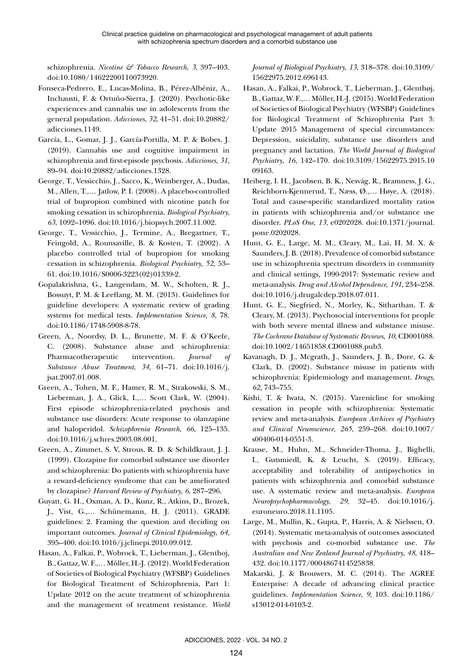schizophrenia. *Nicotine & Tobacco Research*, *3*, 397–403. doi:10.1080/14622200110073920.

- Fonseca-Pedrero, E., Lucas-Molina, B., Pérez-Albéniz, A., Inchausti, F. & Ortuño-Sierra, J. (2020). Psychotic-like experiences and cannabis use in adolescents from the general population. *Adicciones*, *32*, 41–51. doi:10.20882/ adicciones.1149.
- García, L., Gomar, J. J., García-Portilla, M. P. & Bobes, J. (2019). Cannabis use and cognitive impairment in schizophrenia and first-episode psychosis. *Adicciones*, *31*, 89–94. doi:10.20882/adicciones.1328.
- George, T., Vessicchio, J., Sacco, K., Weinberger, A., Dudas, M., Allen, T.,… Jatlow, P. I. (2008). A placebo-controlled trial of bupropion combined with nicotine patch for smoking cessation in schizophrenia. *Biological Psychiatry*, *63*, 1092–1096. doi:10.1016/j.biopsych.2007.11.002.
- George, T., Vessicchio, J., Termine, A., Bregartner, T., Feingold, A., Rounsaville, B. & Kosten, T. (2002). A placebo controlled trial of bupropion for smoking cessation in schizophrenia. *Biological Psychiatry*, *52*, 53– 61. doi:10.1016/S0006-3223(02)01339-2.
- Gopalakrishna, G., Langendam, M. W., Scholten, R. J., Bossuyt, P. M. & Leeflang, M. M. (2013). Guidelines for guideline developers: A systematic review of grading systems for medical tests. *Implementation Science*, *8*, 78. doi:10.1186/1748-5908-8-78.
- Green, A., Noordsy, D. L., Brunette, M. F. & O'Keefe, C. (2008). Substance abuse and schizophrenia: Pharmacotherapeutic intervention. *Journal of Substance Abuse Treatment*, *34*, 61–71. doi:10.1016/j. jsat.2007.01.008.
- Green, A., Tohen, M. F., Hamer, R. M., Strakowski, S. M., Lieberman, J. A., Glick, I.,… Scott Clark, W. (2004). First episode schizophrenia-related psychosis and substance use disorders: Acute response to olanzapine and haloperidol. *Schizophrenia Research*, *66*, 125–135. doi:10.1016/j.schres.2003.08.001.
- Green, A., Zimmet, S. V, Strous, R. D. & Schildkraut, J. J. (1999). Clozapine for comorbid substance use disorder and schizophrenia: Do patients with schizophrenia have a reward-deficiency syndrome that can be ameliorated by clozapine? *Harvard Review of Psychiatry*, *6*, 287–296.
- Guyatt, G. H., Oxman, A. D., Kunz, R., Atkins, D., Brozek, J., Vist, G.,… Schünemann, H. J. (2011). GRADE guidelines: 2. Framing the question and deciding on important outcomes. *Journal of Clinical Epidemiology*, *64*, 395–400. doi:10.1016/j.jclinepi.2010.09.012.
- Hasan, A., Falkai, P., Wobrock, T., Lieberman, J., Glenthoj, B., Gattaz, W. F.,… Möller, H.-J. (2012). World Federation of Societies of Biological Psychiatry (WFSBP) Guidelines for Biological Treatment of Schizophrenia, Part 1: Update 2012 on the acute treatment of schizophrenia and the management of treatment resistance. *World*

*Journal of Biological Psychiatry*, *13*, 318–378. doi:10.3109/ 15622975.2012.696143.

- Hasan, A., Falkai, P., Wobrock, T., Lieberman, J., Glenthøj, B., Gattaz, W. F.,… Möller, H.-J. (2015). World Federation of Societies of Biological Psychiatry (WFSBP) Guidelines for Biological Treatment of Schizophrenia Part 3: Update 2015 Management of special circumstances: Depression, suicidality, substance use disorders and pregnancy and lactation. *The World Journal of Biological Psychiatry*, *16*, 142–170. doi:10.3109/15622975.2015.10 09163.
- Heiberg, I. H., Jacobsen, B. K., Nesvåg, R., Bramness, J. G., Reichborn-Kjennerud, T., Næss, Ø.,… Høye, A. (2018). Total and cause-specific standardized mortality ratios in patients with schizophrenia and/or substance use disorder. *PLoS One*, *13*, e0202028. doi:10.1371/journal. pone.0202028.
- Hunt, G. E., Large, M. M., Cleary, M., Lai, H. M. X. & Saunders, J. B. (2018). Prevalence of comorbid substance use in schizophrenia spectrum disorders in community and clinical settings, 1990-2017: Systematic review and meta-analysis. *Drug and Alcohol Dependence*, *191*, 234–258. doi:10.1016/j.drugalcdep.2018.07.011.
- Hunt, G. E., Siegfried, N., Morley, K., Sitharthan, T. & Cleary, M. (2013). Psychosocial interventions for people with both severe mental illness and substance misuse. *The Cochrane Database of Systematic Reviews*, *10*, CD001088. doi:10.1002/14651858.CD001088.pub3.
- Kavanagh, D. J., Mcgrath, J., Saunders, J. B., Dore, G. & Clark, D. (2002). Substance misuse in patients with schizophrenia: Epidemiology and management. *Drugs*, *62*, 743–755.
- Kishi, T. & Iwata, N. (2015). Varenicline for smoking cessation in people with schizophrenia: Systematic review and meta-analysis. *European Archives of Psychiatry and Clinical Neuroscience*, *265*, 259–268. doi:10.1007/ s00406-014-0551-3.
- Krause, M., Huhn, M., Schneider-Thoma, J., Bighelli, I., Gutsmiedl, K. & Leucht, S. (2019). Efficacy, acceptability and tolerability of antipsychotics in patients with schizophrenia and comorbid substance use. A systematic review and meta-analysis. *European Neuropsychopharmacology*, *29*, 32–45. doi:10.1016/j. euroneuro.2018.11.1105.
- Large, M., Mullin, K., Gupta, P., Harris, A. & Nielssen, O. (2014). Systematic meta-analysis of outcomes associated with psychosis and co-morbid substance use. *The Australian and New Zealand Journal of Psychiatry*, *48*, 418– 432. doi:10.1177/0004867414525838.
- Makarski, J. & Brouwers, M. C. (2014). The AGREE Enterprise: A decade of advancing clinical practice guidelines. *Implementation Science*, *9*, 103. doi:10.1186/ s13012-014-0103-2.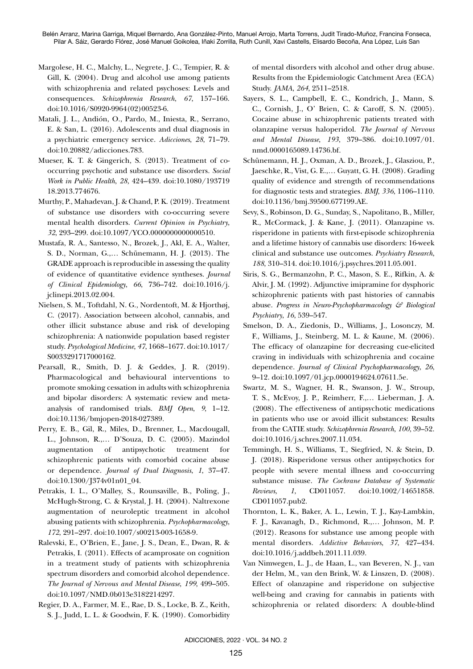- Margolese, H. C., Malchy, L., Negrete, J. C., Tempier, R. & Gill, K. (2004). Drug and alcohol use among patients with schizophrenia and related psychoses: Levels and consequences. *Schizophrenia Research*, *67*, 157–166. doi:10.1016/S0920-9964(02)00523-6.
- Matali, J. L., Andión, O., Pardo, M., Iniesta, R., Serrano, E. & San, L. (2016). Adolescents and dual diagnosis in a psychiatric emergency service. *Adicciones*, *28*, 71–79. doi:10.20882/adicciones.783.
- Mueser, K. T. & Gingerich, S. (2013). Treatment of cooccurring psychotic and substance use disorders. *Social Work in Public Health*, *28*, 424–439. doi:10.1080/193719 18.2013.774676.
- Murthy, P., Mahadevan, J. & Chand, P. K. (2019). Treatment of substance use disorders with co-occurring severe mental health disorders. *Current Opinion in Psychiatry*, *32*, 293–299. doi:10.1097/YCO.0000000000000510.
- Mustafa, R. A., Santesso, N., Brozek, J., Akl, E. A., Walter, S. D., Norman, G.,… Schünemann, H. J. (2013). The GRADE approach is reproducible in assessing the quality of evidence of quantitative evidence syntheses. *Journal of Clinical Epidemiology*, *66*, 736–742. doi:10.1016/j. jclinepi.2013.02.004.
- Nielsen, S. M., Toftdahl, N. G., Nordentoft, M. & Hjorthøj, C. (2017). Association between alcohol, cannabis, and other illicit substance abuse and risk of developing schizophrenia: A nationwide population based register study. *Psychological Medicine*, *47*, 1668–1677. doi:10.1017/ S0033291717000162.
- Pearsall, R., Smith, D. J. & Geddes, J. R. (2019). Pharmacological and behavioural interventions to promote smoking cessation in adults with schizophrenia and bipolar disorders: A systematic review and metaanalysis of randomised trials. *BMJ Open*, *9*, 1–12. doi:10.1136/bmjopen-2018-027389.
- Perry, E. B., Gil, R., Miles, D., Brenner, L., Macdougall, L., Johnson, R.,… D'Souza, D. C. (2005). Mazindol augmentation of antipsychotic treatment for schizophrenic patients with comorbid cocaine abuse or dependence. *Journal of Dual Diagnosis*, *1*, 37–47. doi:10.1300/J374v01n01\_04.
- Petrakis, I. L., O'Malley, S., Rounsaville, B., Poling, J., McHugh-Strong, C. & Krystal, J. H. (2004). Naltrexone augmentation of neuroleptic treatment in alcohol abusing patients with schizophrenia. *Psychopharmacology*, *172*, 291–297. doi:10.1007/s00213-003-1658-9.
- Ralevski, E., O'Brien, E., Jane, J. S., Dean, E., Dwan, R. & Petrakis, I. (2011). Effects of acamprosate on cognition in a treatment study of patients with schizophrenia spectrum disorders and comorbid alcohol dependence. *The Journal of Nervous and Mental Disease*, *199*, 499–505. doi:10.1097/NMD.0b013e3182214297.
- Regier, D. A., Farmer, M. E., Rae, D. S., Locke, B. Z., Keith, S. J., Judd, L. L. & Goodwin, F. K. (1990). Comorbidity

of mental disorders with alcohol and other drug abuse. Results from the Epidemiologic Catchment Area (ECA) Study. *JAMA*, *264*, 2511–2518.

- Sayers, S. L., Campbell, E. C., Kondrich, J., Mann, S. C., Cornish, J., O' Brien, C. & Caroff, S. N. (2005). Cocaine abuse in schizophrenic patients treated with olanzapine versus haloperidol. *The Journal of Nervous and Mental Disease*, *193*, 379–386. doi:10.1097/01. nmd.0000165089.14736.bf.
- Schünemann, H. J., Oxman, A. D., Brozek, J., Glasziou, P., Jaeschke, R., Vist, G. E.,… Guyatt, G. H. (2008). Grading quality of evidence and strength of recommendations for diagnostic tests and strategies. *BMJ*, *336*, 1106–1110. doi:10.1136/bmj.39500.677199.AE.
- Sevy, S., Robinson, D. G., Sunday, S., Napolitano, B., Miller, R., McCormack, J. & Kane, J. (2011). Olanzapine vs. risperidone in patients with first-episode schizophrenia and a lifetime history of cannabis use disorders: 16-week clinical and substance use outcomes. *Psychiatry Research*, *188*, 310–314. doi:10.1016/j.psychres.2011.05.001.
- Siris, S. G., Bermanzohn, P. C., Mason, S. E., Rifkin, A. & Alvir, J. M. (1992). Adjunctive imipramine for dysphoric schizophrenic patients with past histories of cannabis abuse. *Progress in Neuro-Psychopharmacology & Biological Psychiatry*, *16*, 539–547.
- Smelson, D. A., Ziedonis, D., Williams, J., Losonczy, M. F., Williams, J., Steinberg, M. L. & Kaune, M. (2006). The efficacy of olanzapine for decreasing cue-elicited craving in individuals with schizophrenia and cocaine dependence. *Journal of Clinical Psychopharmacology*, *26*, 9–12. doi:10.1097/01.jcp.0000194624.07611.5e.
- Swartz, M. S., Wagner, H. R., Swanson, J. W., Stroup, T. S., McEvoy, J. P., Reimherr, F.,… Lieberman, J. A. (2008). The effectiveness of antipsychotic medications in patients who use or avoid illicit substances: Results from the CATIE study. *Schizophrenia Research*, *100*, 39–52. doi:10.1016/j.schres.2007.11.034.
- Temmingh, H. S., Williams, T., Siegfried, N. & Stein, D. J. (2018). Risperidone versus other antipsychotics for people with severe mental illness and co-occurring substance misuse. *The Cochrane Database of Systematic Reviews*, *1*, CD011057. doi:10.1002/14651858. CD011057.pub2.
- Thornton, L. K., Baker, A. L., Lewin, T. J., Kay-Lambkin, F. J., Kavanagh, D., Richmond, R.,… Johnson, M. P. (2012). Reasons for substance use among people with mental disorders. *Addictive Behaviors*, *37*, 427–434. doi:10.1016/j.addbeh.2011.11.039.
- Van Nimwegen, L. J., de Haan, L., van Beveren, N. J., van der Helm, M., van den Brink, W. & Linszen, D. (2008). Effect of olanzapine and risperidone on subjective well-being and craving for cannabis in patients with schizophrenia or related disorders: A double-blind